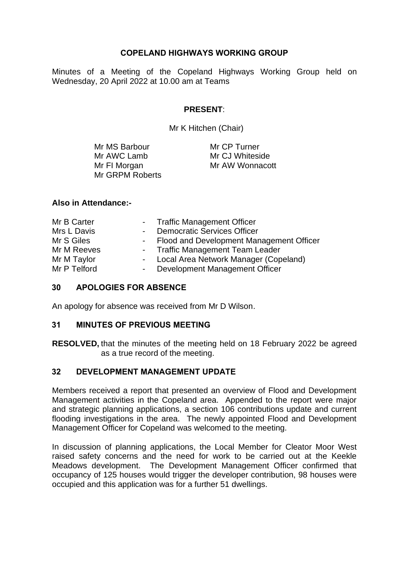## **COPELAND HIGHWAYS WORKING GROUP**

Minutes of a Meeting of the Copeland Highways Working Group held on Wednesday, 20 April 2022 at 10.00 am at Teams

## **PRESENT**:

Mr K Hitchen (Chair)

| Mr MS Barbour   | Mr CP Turner    |
|-----------------|-----------------|
| Mr AWC Lamb     | Mr CJ Whiteside |
| Mr FI Morgan    | Mr AW Wonnacott |
| Mr GRPM Roberts |                 |

#### **Also in Attendance:-**

| Mr B Carter  | - Traffic Management Officer                     |
|--------------|--------------------------------------------------|
| Mrs L Davis  | <b>Democratic Services Officer</b><br>$\sim 100$ |
| Mr S Giles   | - Flood and Development Management Officer       |
| Mr M Reeves  | - Traffic Management Team Leader                 |
| Mr M Taylor  | - Local Area Network Manager (Copeland)          |
| Mr P Telford | Development Management Officer<br>$\sim 100$     |

## **30 APOLOGIES FOR ABSENCE**

An apology for absence was received from Mr D Wilson.

## **31 MINUTES OF PREVIOUS MEETING**

**RESOLVED,** that the minutes of the meeting held on 18 February 2022 be agreed as a true record of the meeting.

## **32 DEVELOPMENT MANAGEMENT UPDATE**

Members received a report that presented an overview of Flood and Development Management activities in the Copeland area. Appended to the report were major and strategic planning applications, a section 106 contributions update and current flooding investigations in the area. The newly appointed Flood and Development Management Officer for Copeland was welcomed to the meeting.

In discussion of planning applications, the Local Member for Cleator Moor West raised safety concerns and the need for work to be carried out at the Keekle Meadows development. The Development Management Officer confirmed that occupancy of 125 houses would trigger the developer contribution, 98 houses were occupied and this application was for a further 51 dwellings.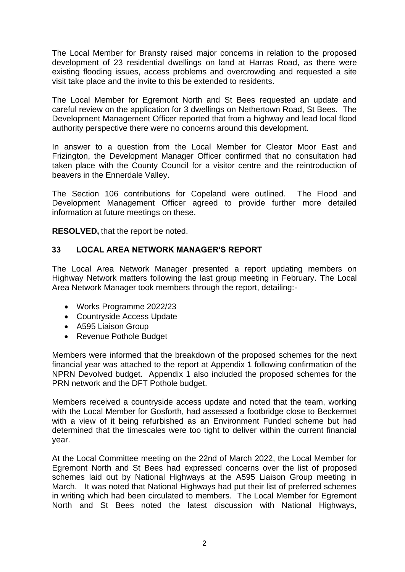The Local Member for Bransty raised major concerns in relation to the proposed development of 23 residential dwellings on land at Harras Road, as there were existing flooding issues, access problems and overcrowding and requested a site visit take place and the invite to this be extended to residents.

The Local Member for Egremont North and St Bees requested an update and careful review on the application for 3 dwellings on Nethertown Road, St Bees. The Development Management Officer reported that from a highway and lead local flood authority perspective there were no concerns around this development.

In answer to a question from the Local Member for Cleator Moor East and Frizington, the Development Manager Officer confirmed that no consultation had taken place with the County Council for a visitor centre and the reintroduction of beavers in the Ennerdale Valley.

The Section 106 contributions for Copeland were outlined. The Flood and Development Management Officer agreed to provide further more detailed information at future meetings on these.

**RESOLVED,** that the report be noted.

## **33 LOCAL AREA NETWORK MANAGER'S REPORT**

The Local Area Network Manager presented a report updating members on Highway Network matters following the last group meeting in February. The Local Area Network Manager took members through the report, detailing:-

- Works Programme 2022/23
- Countryside Access Update
- A595 Liaison Group
- Revenue Pothole Budget

Members were informed that the breakdown of the proposed schemes for the next financial year was attached to the report at Appendix 1 following confirmation of the NPRN Devolved budget. Appendix 1 also included the proposed schemes for the PRN network and the DFT Pothole budget.

Members received a countryside access update and noted that the team, working with the Local Member for Gosforth, had assessed a footbridge close to Beckermet with a view of it being refurbished as an Environment Funded scheme but had determined that the timescales were too tight to deliver within the current financial year.

At the Local Committee meeting on the 22nd of March 2022, the Local Member for Egremont North and St Bees had expressed concerns over the list of proposed schemes laid out by National Highways at the A595 Liaison Group meeting in March. It was noted that National Highways had put their list of preferred schemes in writing which had been circulated to members. The Local Member for Egremont North and St Bees noted the latest discussion with National Highways,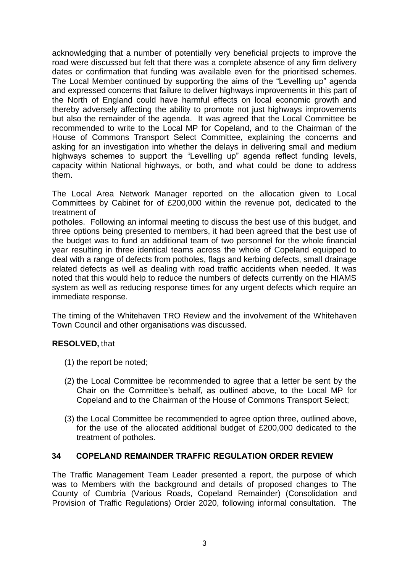acknowledging that a number of potentially very beneficial projects to improve the road were discussed but felt that there was a complete absence of any firm delivery dates or confirmation that funding was available even for the prioritised schemes. The Local Member continued by supporting the aims of the "Levelling up" agenda and expressed concerns that failure to deliver highways improvements in this part of the North of England could have harmful effects on local economic growth and thereby adversely affecting the ability to promote not just highways improvements but also the remainder of the agenda. It was agreed that the Local Committee be recommended to write to the Local MP for Copeland, and to the Chairman of the House of Commons Transport Select Committee, explaining the concerns and asking for an investigation into whether the delays in delivering small and medium highways schemes to support the "Levelling up" agenda reflect funding levels, capacity within National highways, or both, and what could be done to address them.

The Local Area Network Manager reported on the allocation given to Local Committees by Cabinet for of £200,000 within the revenue pot, dedicated to the treatment of

potholes. Following an informal meeting to discuss the best use of this budget, and three options being presented to members, it had been agreed that the best use of the budget was to fund an additional team of two personnel for the whole financial year resulting in three identical teams across the whole of Copeland equipped to deal with a range of defects from potholes, flags and kerbing defects, small drainage related defects as well as dealing with road traffic accidents when needed. It was noted that this would help to reduce the numbers of defects currently on the HIAMS system as well as reducing response times for any urgent defects which require an immediate response.

The timing of the Whitehaven TRO Review and the involvement of the Whitehaven Town Council and other organisations was discussed.

## **RESOLVED,** that

- (1) the report be noted;
- (2) the Local Committee be recommended to agree that a letter be sent by the Chair on the Committee's behalf, as outlined above, to the Local MP for Copeland and to the Chairman of the House of Commons Transport Select;
- (3) the Local Committee be recommended to agree option three, outlined above, for the use of the allocated additional budget of £200,000 dedicated to the treatment of potholes.

#### **34 COPELAND REMAINDER TRAFFIC REGULATION ORDER REVIEW**

The Traffic Management Team Leader presented a report, the purpose of which was to Members with the background and details of proposed changes to The County of Cumbria (Various Roads, Copeland Remainder) (Consolidation and Provision of Traffic Regulations) Order 2020, following informal consultation. The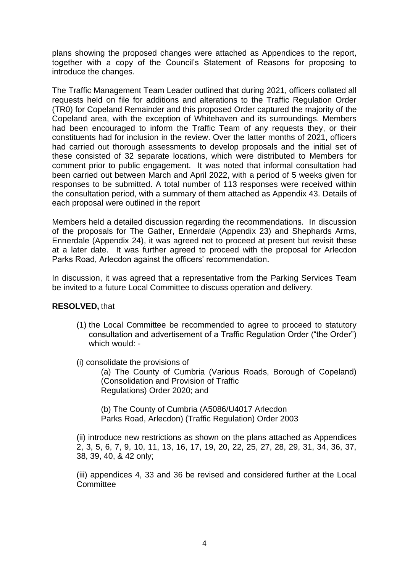plans showing the proposed changes were attached as Appendices to the report, together with a copy of the Council's Statement of Reasons for proposing to introduce the changes.

The Traffic Management Team Leader outlined that during 2021, officers collated all requests held on file for additions and alterations to the Traffic Regulation Order (TR0) for Copeland Remainder and this proposed Order captured the majority of the Copeland area, with the exception of Whitehaven and its surroundings. Members had been encouraged to inform the Traffic Team of any requests they, or their constituents had for inclusion in the review. Over the latter months of 2021, officers had carried out thorough assessments to develop proposals and the initial set of these consisted of 32 separate locations, which were distributed to Members for comment prior to public engagement. It was noted that informal consultation had been carried out between March and April 2022, with a period of 5 weeks given for responses to be submitted. A total number of 113 responses were received within the consultation period, with a summary of them attached as Appendix 43. Details of each proposal were outlined in the report

Members held a detailed discussion regarding the recommendations. In discussion of the proposals for The Gather, Ennerdale (Appendix 23) and Shephards Arms, Ennerdale (Appendix 24), it was agreed not to proceed at present but revisit these at a later date. It was further agreed to proceed with the proposal for Arlecdon Parks Road, Arlecdon against the officers' recommendation.

In discussion, it was agreed that a representative from the Parking Services Team be invited to a future Local Committee to discuss operation and delivery.

## **RESOLVED,** that

- (1) the Local Committee be recommended to agree to proceed to statutory consultation and advertisement of a Traffic Regulation Order ("the Order") which would: -
- (i) consolidate the provisions of

(a) The County of Cumbria (Various Roads, Borough of Copeland) (Consolidation and Provision of Traffic Regulations) Order 2020; and

(b) The County of Cumbria (A5086/U4017 Arlecdon Parks Road, Arlecdon) (Traffic Regulation) Order 2003

(ii) introduce new restrictions as shown on the plans attached as Appendices 2, 3, 5, 6, 7, 9, 10, 11, 13, 16, 17, 19, 20, 22, 25, 27, 28, 29, 31, 34, 36, 37, 38, 39, 40, & 42 only;

(iii) appendices 4, 33 and 36 be revised and considered further at the Local **Committee**